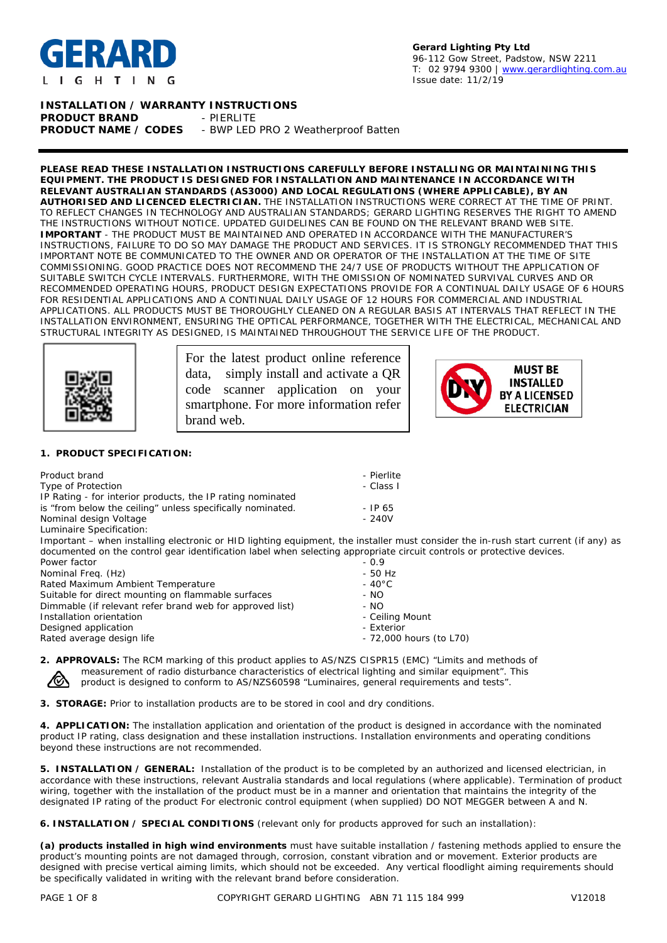

#### **Gerard Lighting Pty Ltd** 96-112 Gow Street, Padstow, NSW 2211 T: 02 9794 9300 | [www.gerardlighting.com.au](http://www.gerardlighting.com.au/) Issue date: 11/2/19

# **INSTALLATION / WARRANTY INSTRUCTIONS**

**PRODUCT BRAND FRODUCT BRAND** PRODUCT NAME / CODES - BWP LED - BWP LED PRO 2 Weatherproof Batten

**PLEASE READ THESE INSTALLATION INSTRUCTIONS CAREFULLY BEFORE INSTALLING OR MAINTAINING THIS EQUIPMENT. THE PRODUCT IS DESIGNED FOR INSTALLATION AND MAINTENANCE IN ACCORDANCE WITH RELEVANT AUSTRALIAN STANDARDS (AS3000) AND LOCAL REGULATIONS (WHERE APPLICABLE), BY AN AUTHORISED AND LICENCED ELECTRICIAN.** THE INSTALLATION INSTRUCTIONS WERE CORRECT AT THE TIME OF PRINT. TO REFLECT CHANGES IN TECHNOLOGY AND AUSTRALIAN STANDARDS; GERARD LIGHTING RESERVES THE RIGHT TO AMEND THE INSTRUCTIONS WITHOUT NOTICE. UPDATED GUIDELINES CAN BE FOUND ON THE RELEVANT BRAND WEB SITE. **IMPORTANT** - THE PRODUCT MUST BE MAINTAINED AND OPERATED IN ACCORDANCE WITH THE MANUFACTURER'S INSTRUCTIONS, FAILURE TO DO SO MAY DAMAGE THE PRODUCT AND SERVICES. IT IS STRONGLY RECOMMENDED THAT THIS IMPORTANT NOTE BE COMMUNICATED TO THE OWNER AND OR OPERATOR OF THE INSTALLATION AT THE TIME OF SITE COMMISSIONING. GOOD PRACTICE DOES NOT RECOMMEND THE 24/7 USE OF PRODUCTS WITHOUT THE APPLICATION OF SUITABLE SWITCH CYCLE INTERVALS. FURTHERMORE, WITH THE OMISSION OF NOMINATED SURVIVAL CURVES AND OR RECOMMENDED OPERATING HOURS, PRODUCT DESIGN EXPECTATIONS PROVIDE FOR A CONTINUAL DAILY USAGE OF 6 HOURS FOR RESIDENTIAL APPLICATIONS AND A CONTINUAL DAILY USAGE OF 12 HOURS FOR COMMERCIAL AND INDUSTRIAL APPLICATIONS. ALL PRODUCTS MUST BE THOROUGHLY CLEANED ON A REGULAR BASIS AT INTERVALS THAT REFLECT IN THE INSTALLATION ENVIRONMENT, ENSURING THE OPTICAL PERFORMANCE, TOGETHER WITH THE ELECTRICAL, MECHANICAL AND STRUCTURAL INTEGRITY AS DESIGNED, IS MAINTAINED THROUGHOUT THE SERVICE LIFE OF THE PRODUCT.



For the latest product online reference data, simply install and activate a QR code scanner application on your smartphone. For more information refer brand web.



#### **1. PRODUCT SPECIFICATION:**

| Product brand                                                                                                          | - Pierlite                                                                                                                          |
|------------------------------------------------------------------------------------------------------------------------|-------------------------------------------------------------------------------------------------------------------------------------|
| Type of Protection                                                                                                     | - Class I                                                                                                                           |
| IP Rating - for interior products, the IP rating nominated                                                             |                                                                                                                                     |
| is "from below the ceiling" unless specifically nominated.                                                             | $-$ IP 65                                                                                                                           |
| Nominal design Voltage                                                                                                 | $-240V$                                                                                                                             |
| Luminaire Specification:                                                                                               |                                                                                                                                     |
|                                                                                                                        | Important – when installing electronic or HID lighting equipment, the installer must consider the in-rush start current (if any) as |
| documented on the control gear identification label when selecting appropriate circuit controls or protective devices. |                                                                                                                                     |
| Dower factor                                                                                                           |                                                                                                                                     |

| Power factor                                             | $-0.9$                  |
|----------------------------------------------------------|-------------------------|
| Nominal Freq. (Hz)                                       | $-50$ Hz                |
| Rated Maximum Ambient Temperature                        | $-40^{\circ}$ C         |
| Suitable for direct mounting on flammable surfaces       | - NO                    |
| Dimmable (if relevant refer brand web for approved list) | - NO                    |
| Installation orientation                                 | - Ceiling Mount         |
| Designed application                                     | - Exterior              |
| Rated average design life                                | - 72,000 hours (to L70) |
|                                                          |                         |

**2. APPROVALS:** The RCM marking of this product applies to AS/NZS CISPR15 (EMC) "Limits and methods of measurement of radio disturbance characteristics of electrical lighting and similar equipment". This /T product is designed to conform to AS/NZS60598 "Luminaires, general requirements and tests".

**3. STORAGE:** Prior to installation products are to be stored in cool and dry conditions.

**4. APPLICATION:** The installation application and orientation of the product is designed in accordance with the nominated product IP rating, class designation and these installation instructions. Installation environments and operating conditions beyond these instructions are not recommended.

**5. INSTALLATION / GENERAL:** Installation of the product is to be completed by an authorized and licensed electrician, in accordance with these instructions, relevant Australia standards and local regulations (where applicable). Termination of product wiring, together with the installation of the product must be in a manner and orientation that maintains the integrity of the designated IP rating of the product For electronic control equipment (when supplied) DO NOT MEGGER between A and N.

**6. INSTALLATION / SPECIAL CONDITIONS** (relevant only for products approved for such an installation):

**(a) products installed in high wind environments** must have suitable installation / fastening methods applied to ensure the product's mounting points are not damaged through, corrosion, constant vibration and or movement. Exterior products are designed with precise vertical aiming limits, which should not be exceeded. Any vertical floodlight aiming requirements should be specifically validated in writing with the relevant brand before consideration.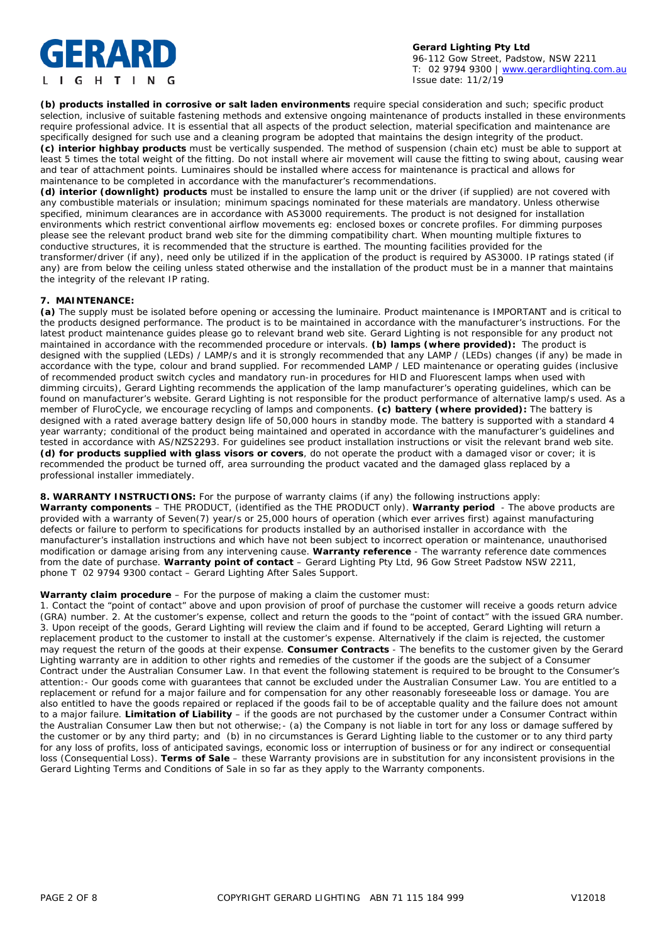# IERARD **IGHTING**

**Gerard Lighting Pty Ltd** 96-112 Gow Street, Padstow, NSW 2211 T: 02 9794 9300 | [www.gerardlighting.com.au](http://www.gerardlighting.com.au/) Issue date: 11/2/19

**(b) products installed in corrosive or salt laden environments** require special consideration and such; specific product selection, inclusive of suitable fastening methods and extensive ongoing maintenance of products installed in these environments require professional advice. It is essential that all aspects of the product selection, material specification and maintenance are specifically designed for such use and a cleaning program be adopted that maintains the design integrity of the product. **(c) interior highbay products** must be vertically suspended. The method of suspension (chain etc) must be able to support at least 5 times the total weight of the fitting. Do not install where air movement will cause the fitting to swing about, causing wear and tear of attachment points. Luminaires should be installed where access for maintenance is practical and allows for maintenance to be completed in accordance with the manufacturer's recommendations.

**(d) interior (downlight) products** must be installed to ensure the lamp unit or the driver (if supplied) are not covered with any combustible materials or insulation; minimum spacings nominated for these materials are mandatory. Unless otherwise specified, minimum clearances are in accordance with AS3000 requirements. The product is not designed for installation environments which restrict conventional airflow movements eg: enclosed boxes or concrete profiles. For dimming purposes please see the relevant product brand web site for the dimming compatibility chart. When mounting multiple fixtures to conductive structures, it is recommended that the structure is earthed. The mounting facilities provided for the transformer/driver (if any), need only be utilized if in the application of the product is required by AS3000. IP ratings stated (if any) are from below the ceiling unless stated otherwise and the installation of the product must be in a manner that maintains the integrity of the relevant IP rating.

#### **7. MAINTENANCE:**

**(a)** The supply must be isolated before opening or accessing the luminaire. Product maintenance is IMPORTANT and is critical to the products designed performance. The product is to be maintained in accordance with the manufacturer's instructions. For the latest product maintenance guides please go to relevant brand web site. Gerard Lighting is not responsible for any product not maintained in accordance with the recommended procedure or intervals. **(b) lamps (where provided):** The product is designed with the supplied (LEDs) / LAMP/s and it is strongly recommended that any LAMP / (LEDs) changes (if any) be made in accordance with the type, colour and brand supplied. For recommended LAMP / LED maintenance or operating guides (inclusive of recommended product switch cycles and mandatory run-in procedures for HID and Fluorescent lamps when used with dimming circuits), Gerard Lighting recommends the application of the lamp manufacturer's operating guidelines, which can be found on manufacturer's website. Gerard Lighting is not responsible for the product performance of alternative lamp/s used. As a member of FluroCycle, we encourage recycling of lamps and components. **(c) battery (where provided):** The battery is designed with a rated average battery design life of 50,000 hours in standby mode. The battery is supported with a standard 4 year warranty; conditional of the product being maintained and operated in accordance with the manufacturer's guidelines and tested in accordance with AS/NZS2293. For guidelines see product installation instructions or visit the relevant brand web site. **(d) for products supplied with glass visors or covers**, do not operate the product with a damaged visor or cover; it is recommended the product be turned off, area surrounding the product vacated and the damaged glass replaced by a professional installer immediately.

**8. WARRANTY INSTRUCTIONS:** For the purpose of warranty claims (if any) the following instructions apply: **Warranty components** – THE PRODUCT, (identified as the THE PRODUCT only). **Warranty period** - The above products are provided with a warranty of Seven(7) year/s or 25,000 hours of operation (which ever arrives first) against manufacturing defects or failure to perform to specifications for products installed by an authorised installer in accordance with the manufacturer's installation instructions and which have not been subject to incorrect operation or maintenance, unauthorised modification or damage arising from any intervening cause. **Warranty reference** - The warranty reference date commences from the date of purchase. **Warranty point of contact** – Gerard Lighting Pty Ltd, 96 Gow Street Padstow NSW 2211, phone T 02 9794 9300 contact – Gerard Lighting After Sales Support.

#### **Warranty claim procedure** – For the purpose of making a claim the customer must:

1. Contact the "point of contact" above and upon provision of proof of purchase the customer will receive a goods return advice (GRA) number. 2. At the customer's expense, collect and return the goods to the "point of contact" with the issued GRA number. 3. Upon receipt of the goods, Gerard Lighting will review the claim and if found to be accepted, Gerard Lighting will return a replacement product to the customer to install at the customer's expense. Alternatively if the claim is rejected, the customer may request the return of the goods at their expense. **Consumer Contracts** - The benefits to the customer given by the Gerard Lighting warranty are in addition to other rights and remedies of the customer if the goods are the subject of a Consumer Contract under the Australian Consumer Law. In that event the following statement is required to be brought to the Consumer's attention:- *Our goods come with guarantees that cannot be excluded under the Australian Consumer Law. You are entitled to a replacement or refund for a major failure and for compensation for any other reasonably foreseeable loss or damage. You are also entitled to have the goods repaired or replaced if the goods fail to be of acceptable quality and the failure does not amount to a major failure.* **Limitation of Liability** – if the goods are not purchased by the customer under a Consumer Contract within the Australian Consumer Law then but not otherwise;- (a) the Company is not liable in tort for any loss or damage suffered by the customer or by any third party; and (b) in no circumstances is Gerard Lighting liable to the customer or to any third party for any loss of profits, loss of anticipated savings, economic loss or interruption of business or for any indirect or consequential loss (Consequential Loss). **Terms of Sale** – these Warranty provisions are in substitution for any inconsistent provisions in the Gerard Lighting Terms and Conditions of Sale in so far as they apply to the Warranty components.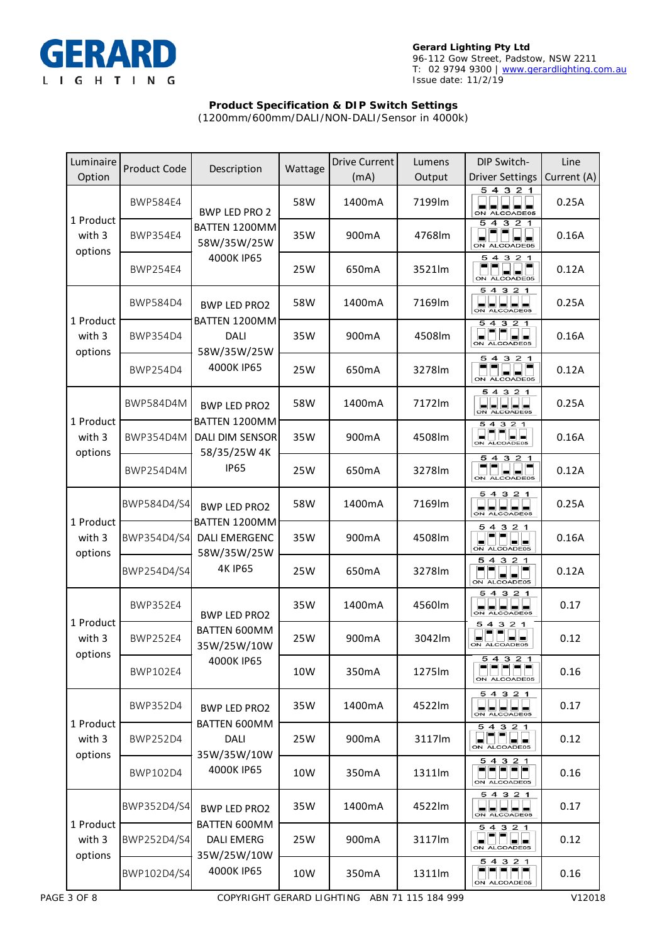

# **Product Specification & DIP Switch Settings**

(1200mm/600mm/DALI/NON-DALI/Sensor in 4000k)

| Luminaire<br>Option                                                                     | <b>Product Code</b>                                 | Description                                                                      | Wattage | <b>Drive Current</b><br>(mA) | Lumens<br>Output          | DIP Switch-<br><b>Driver Settings</b>                  | Line<br>Current (A) |
|-----------------------------------------------------------------------------------------|-----------------------------------------------------|----------------------------------------------------------------------------------|---------|------------------------------|---------------------------|--------------------------------------------------------|---------------------|
| <b>BWP584E4</b><br>1 Product<br>with 3<br><b>BWP354E4</b><br>options<br><b>BWP254E4</b> |                                                     | <b>BWP LED PRO 2</b><br>BATTEN 1200MM<br>58W/35W/25W                             | 58W     | 1400mA                       | 7199lm                    | 54321<br>ON ALCOADE05                                  | 0.25A               |
|                                                                                         |                                                     |                                                                                  | 35W     | 900mA                        | 4768lm                    | 54<br>321<br>ON ALCOADE05                              | 0.16A               |
|                                                                                         | 4000K IP65                                          | 25W                                                                              | 650mA   | 3521lm                       | 5 4 3 2 1<br>ON ALCOADE05 | 0.12A                                                  |                     |
|                                                                                         | <b>BWP584D4</b>                                     | <b>BWP LED PRO2</b><br>BATTEN 1200MM<br><b>DALI</b><br>58W/35W/25W<br>4000K IP65 | 58W     | 1400mA                       | 7169lm                    | 5432<br>1<br>ON ALCOADE05                              | 0.25A               |
| with 3                                                                                  | 1 Product<br>BWP354D4<br>options<br><b>BWP254D4</b> |                                                                                  | 35W     | 900mA                        | 4508lm                    | 5 4 3 2 1<br>ON ALCOADE05                              | 0.16A               |
|                                                                                         |                                                     |                                                                                  | 25W     | 650mA                        | 3278lm                    | 321<br>54<br>ON ALCOADE05                              | 0.12A               |
|                                                                                         | <b>BWP584D4M</b>                                    | <b>BWP LED PRO2</b><br>BATTEN 1200MM<br>DALI DIM SENSOR                          | 58W     | 1400mA                       | 7172lm                    | 5 4 3 2 1<br>ON ALCOADE05                              | 0.25A               |
| 1 Product<br>with 3                                                                     | <b>BWP354D4M</b>                                    |                                                                                  | 35W     | 900mA                        | 4508lm                    | 5 4 3 2 1<br>ON ALCOADE05                              | 0.16A               |
| options                                                                                 | <b>BWP254D4M</b>                                    | 58/35/25W 4K<br><b>IP65</b>                                                      | 25W     | 650mA                        | 3278lm                    | 5 4 3 2 1<br>ON ALCOADE05                              | 0.12A               |
|                                                                                         | BWP584D4/S4                                         | <b>BWP LED PRO2</b>                                                              | 58W     | 1400mA                       | 7169lm                    | 54321<br>ALCOADE05                                     | 0.25A               |
| with 3<br>options                                                                       | 1 Product<br>BWP354D4/S4                            | BATTEN 1200MM<br>DALI EMERGENC<br>58W/35W/25W<br><b>4K IP65</b>                  | 35W     | 900mA                        | 4508lm                    | 5 4 3 2 1<br>ON ALCOADE05                              | 0.16A               |
|                                                                                         | BWP254D4/S4                                         |                                                                                  | 25W     | 650mA                        | 3278lm                    | 54<br>3 2<br>$\mathbf 1$<br>ON ALCOADE05               | 0.12A               |
|                                                                                         | <b>BWP352E4</b>                                     | <b>BWP LED PRO2</b><br>BATTEN 600MM<br>35W/25W/10W<br>4000K IP65                 | 35W     | 1400mA                       | 4560lm                    | 54321<br>ON ALCOADE05                                  | 0.17                |
| 1 Product<br>with 3                                                                     | <b>BWP252E4</b>                                     |                                                                                  | 25W     | 900mA                        | 3042lm                    | 5 4 3 2 1<br>ON ALCOADE05                              | 0.12                |
| options                                                                                 | <b>BWP102E4</b>                                     |                                                                                  | 10W     | 350 <sub>m</sub> A           | 1275lm                    | 54321<br>- - - -<br>ON ALCOADE05                       | 0.16                |
|                                                                                         | <b>BWP352D4</b>                                     | <b>BWP LED PRO2</b>                                                              | 35W     | 1400mA                       | 4522lm                    | 54321<br><u>LULULULU</u>                               | 0.17                |
| 1 Product<br>with 3                                                                     | <b>BWP252D4</b>                                     | <b>BATTEN 600MM</b><br>DALI<br>35W/35W/10W<br>4000K IP65                         | 25W     | 900mA                        | 3117lm                    | 54<br>3 2 1<br>ON ALCOADE05                            | 0.12                |
| options                                                                                 | BWP102D4                                            |                                                                                  | 10W     | 350mA                        | 1311lm                    | 54321<br>ON ALCOADE05                                  | 0.16                |
|                                                                                         | BWP352D4/S4                                         | <b>BWP LED PRO2</b>                                                              | 35W     | 1400mA                       | 4522lm                    | 5 4 3 2 1<br>ON ALCOADE05                              | 0.17                |
| 1 Product<br>with 3                                                                     | BWP252D4/S4                                         | BATTEN 600MM<br><b>DALI EMERG</b><br>35W/25W/10W<br>4000K IP65                   | 25W     | 900 <sub>m</sub> A           | 3117lm                    | $\overline{5}$ 4 3 2 1<br><b> -  -</b><br>ON ALCOADE05 | 0.12                |
| options                                                                                 | BWP102D4/S4                                         |                                                                                  | 10W     | 350mA                        | 1311lm                    | 5 4 3 2 1<br>ON ALCOADE05                              | 0.16                |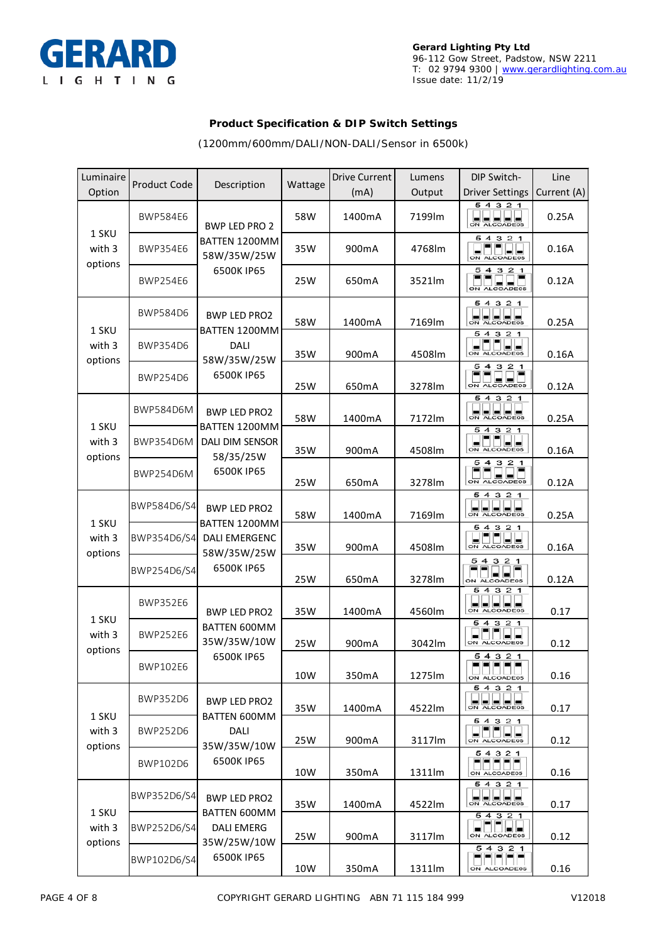

### **Product Specification & DIP Switch Settings**

(1200mm/600mm/DALI/NON-DALI/Sensor in 6500k)

| Luminaire<br>Option        | <b>Product Code</b>                 | Description                                                                           | Wattage | <b>Drive Current</b><br>(mA) | Lumens<br>Output | DIP Switch-<br><b>Driver Settings</b>                                   | Line<br>Current (A) |
|----------------------------|-------------------------------------|---------------------------------------------------------------------------------------|---------|------------------------------|------------------|-------------------------------------------------------------------------|---------------------|
| 1 SKU<br>with 3<br>options | <b>BWP584E6</b>                     | <b>BWP LED PRO 2</b><br>BATTEN 1200MM<br>58W/35W/25W<br>6500K IP65                    | 58W     | 1400mA                       | 7199lm           | 5 4 3 2 1<br>하나님께                                                       | 0.25A               |
|                            | <b>BWP354E6</b>                     |                                                                                       | 35W     | 900 <sub>m</sub> A           | 4768lm           | 5 4 3 2 1<br>ON ALCOADE05                                               | 0.16A               |
|                            | <b>BWP254E6</b>                     |                                                                                       | 25W     | 650 <sub>m</sub> A           | 3521m            | 54321<br>ON ALCOADE05                                                   | 0.12A               |
|                            | <b>BWP584D6</b>                     | <b>BWP LED PRO2</b><br>BATTEN 1200MM<br><b>DALI</b><br>58W/35W/25W<br>6500K IP65      | 58W     | 1400mA                       | 7169lm           | 5 4 3 2 1<br>ON ALCOADE05                                               | 0.25A               |
| 1 SKU<br>with 3<br>options | <b>BWP354D6</b>                     |                                                                                       | 35W     | 900mA                        | 4508lm           | 54<br>321<br>ON ALCOADE05                                               | 0.16A               |
|                            | <b>BWP254D6</b>                     |                                                                                       | 25W     | 650mA                        | 3278lm           | 5<br>$\overline{a}$<br>з<br>21<br>ON ALCOADE05                          | 0.12A               |
| 1 SKU                      | <b>BWP584D6M</b>                    | <b>BWP LED PRO2</b><br>BATTEN 1200MM                                                  | 58W     | 1400mA                       | 7172lm           | 5 4 3 2 1<br>ON ALCOADE05                                               | 0.25A               |
| with 3<br>options          | <b>BWP354D6M</b>                    | DALI DIM SENSOR<br>58/35/25W<br>6500K IP65                                            | 35W     | 900mA                        | 4508lm           | 54<br>321<br>ON ALCOADE05                                               | 0.16A               |
|                            | <b>BWP254D6M</b>                    |                                                                                       | 25W     | 650mA                        | 3278lm           | 54<br>321<br>ON ALCOADE05                                               | 0.12A               |
| 1 SKU                      | BWP584D6/S4                         | <b>BWP LED PRO2</b><br>BATTEN 1200MM<br>DALI EMERGENC<br>58W/35W/25W<br>6500K IP65    | 58W     | 1400mA                       | 7169lm           | 321<br>54<br>ALCOADE05                                                  | 0.25A               |
| with 3<br>options          | BWP354D6/S4                         |                                                                                       | 35W     | 900mA                        | 4508lm           | 54<br>321<br>ON ALCOADE05                                               | 0.16A               |
|                            | BWP254D6/S4                         |                                                                                       | 25W     | 650mA                        | 3278lm           | 54321<br>ON ALCOADE05                                                   | 0.12A               |
| 1 SKU                      | <b>BWP352E6</b>                     | <b>BWP LED PRO2</b><br>BATTEN 600MM<br>35W/35W/10W                                    | 35W     | 1400mA                       | 4560lm           | 54321<br>ON ALCOADE05                                                   | 0.17                |
| with 3<br>options          | <b>BWP252E6</b>                     |                                                                                       | 25W     | 900mA                        | 3042lm           | 54321<br>ON ALCOADE05                                                   | 0.12                |
|                            | BWP102E6                            | 6500K IP65                                                                            | 10W     | 350mA                        | 1275lm           | 54321<br>ON ALCOADE05                                                   | 0.16                |
| 1 SKU                      | BWP352D6<br>BWP252D6<br><b>DALI</b> | <b>BWP LED PRO2</b><br>BATTEN 600MM                                                   | 35W     | 1400mA                       | 4522lm           | 5 4 3 2 1<br>ON ALCOADE05                                               | 0.17                |
| with 3<br>options          |                                     | 35W/35W/10W                                                                           | 25W     | 900mA                        | 3117lm           | 54321<br>$\begin{array}{c}\n\begin{array}{c}\n\end{array}\n\end{array}$ | 0.12                |
|                            | BWP102D6                            | 6500K IP65                                                                            | 10W     | 350mA                        | 1311lm           | 54321<br>ON ALCOADE05                                                   | 0.16                |
| 1 SKU                      | BWP352D6/S4                         | <b>BWP LED PRO2</b><br>BATTEN 600MM<br><b>DALI EMERG</b><br>35W/25W/10W<br>6500K IP65 | 35W     | 1400mA                       | 4522lm           | 5 4 3 2 1<br>ON ALCOADE05                                               | 0.17                |
| with 3<br>options          | BWP252D6/S4                         |                                                                                       | 25W     | 900mA                        | 3117lm           | 54321<br>▄▏<br>▐▄▏▏▄▏<br>ON ALCOADE05                                   | 0.12                |
|                            | BWP102D6/S4                         |                                                                                       | 10W     | 350mA                        | 1311lm           | 5 4 3 2 1<br>▬<br>ON ALCOADE05                                          | 0.16                |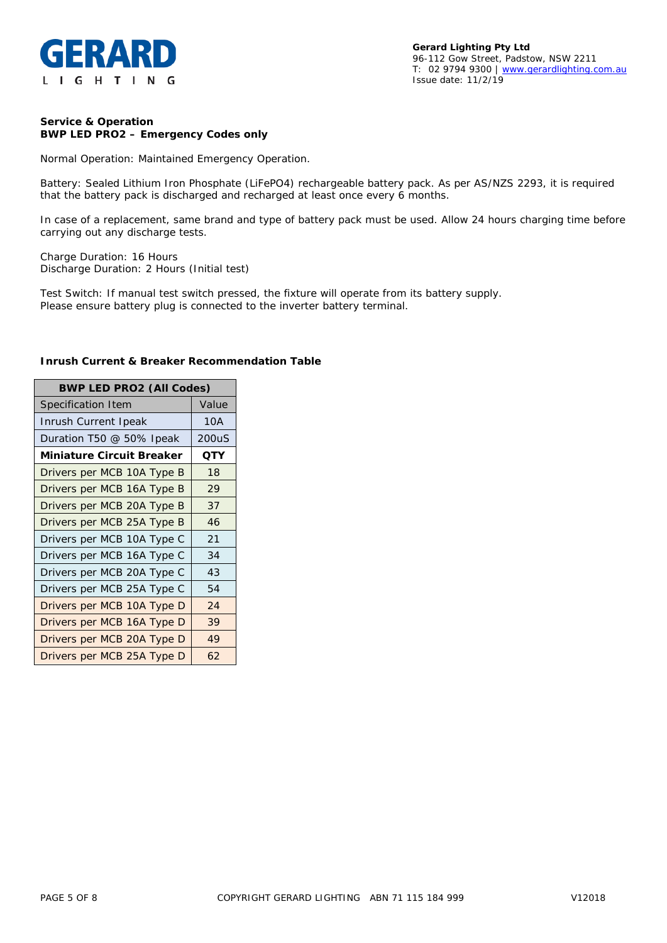

#### **Service & Operation BWP LED PRO2 – Emergency Codes only**

Normal Operation: Maintained Emergency Operation.

Battery: Sealed Lithium Iron Phosphate (LiFePO4) rechargeable battery pack. As per AS/NZS 2293, it is required that the battery pack is discharged and recharged at least once every 6 months.

In case of a replacement, same brand and type of battery pack must be used. Allow 24 hours charging time before carrying out any discharge tests.

Charge Duration: 16 Hours Discharge Duration: 2 Hours (Initial test)

Test Switch: If manual test switch pressed, the fixture will operate from its battery supply. Please ensure battery plug is connected to the inverter battery terminal.

| <b>BWP LED PRO2 (All Codes)</b>  |       |  |  |  |
|----------------------------------|-------|--|--|--|
| Specification Item               | Value |  |  |  |
| Inrush Current Ipeak             | 10A   |  |  |  |
| Duration T50 @ 50% Ipeak         | 200uS |  |  |  |
| <b>Miniature Circuit Breaker</b> | QTY   |  |  |  |
| Drivers per MCB 10A Type B       | 18    |  |  |  |
| Drivers per MCB 16A Type B       | 29    |  |  |  |
| Drivers per MCB 20A Type B       | 37    |  |  |  |
| Drivers per MCB 25A Type B       | 46    |  |  |  |
| Drivers per MCB 10A Type C       | 21    |  |  |  |
| Drivers per MCB 16A Type C       | 34    |  |  |  |
| Drivers per MCB 20A Type C       | 43    |  |  |  |
| Drivers per MCB 25A Type C       | 54    |  |  |  |
| Drivers per MCB 10A Type D       | 24    |  |  |  |
| Drivers per MCB 16A Type D       | 39    |  |  |  |
| Drivers per MCB 20A Type D       | 49    |  |  |  |
| Drivers per MCB 25A Type D       | 62    |  |  |  |

#### **Inrush Current & Breaker Recommendation Table**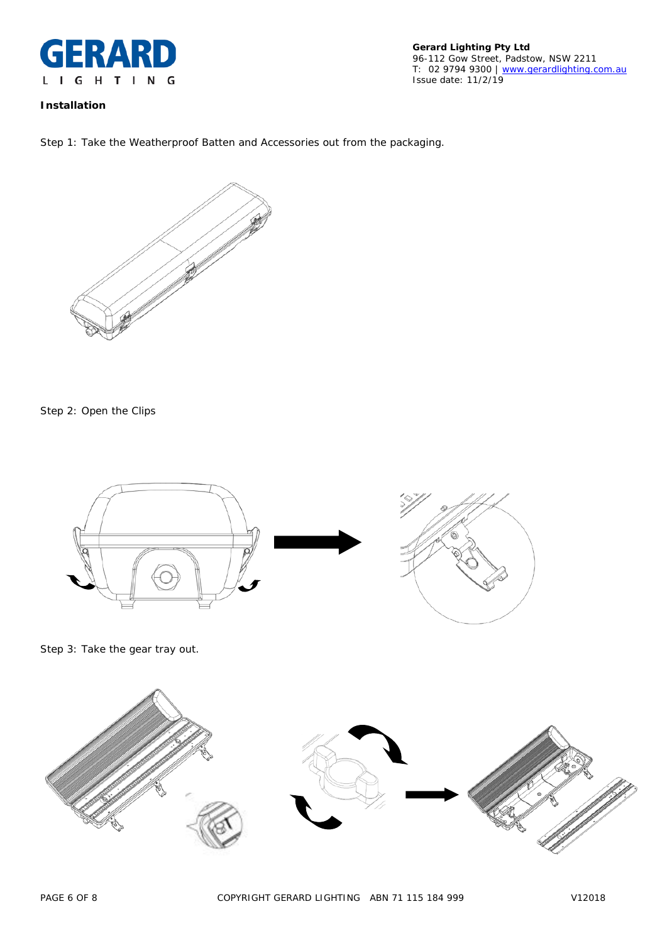

**Gerard Lighting Pty Ltd** 96-112 Gow Street, Padstow, NSW 2211 T: 02 9794 9300 | [www.gerardlighting.com.au](http://www.gerardlighting.com.au/) Issue date: 11/2/19

## **Installation**

Step 1: Take the Weatherproof Batten and Accessories out from the packaging.



Step 2: Open the Clips

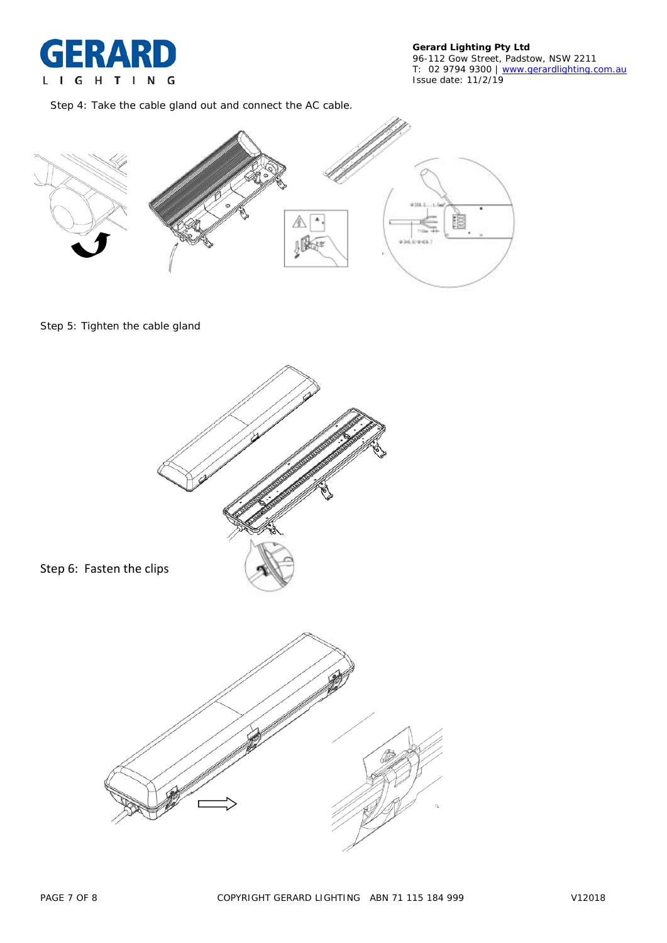

Step 4: Take the cable gland out and connect the AC cable.



## Step 5: Tighten the cable gland